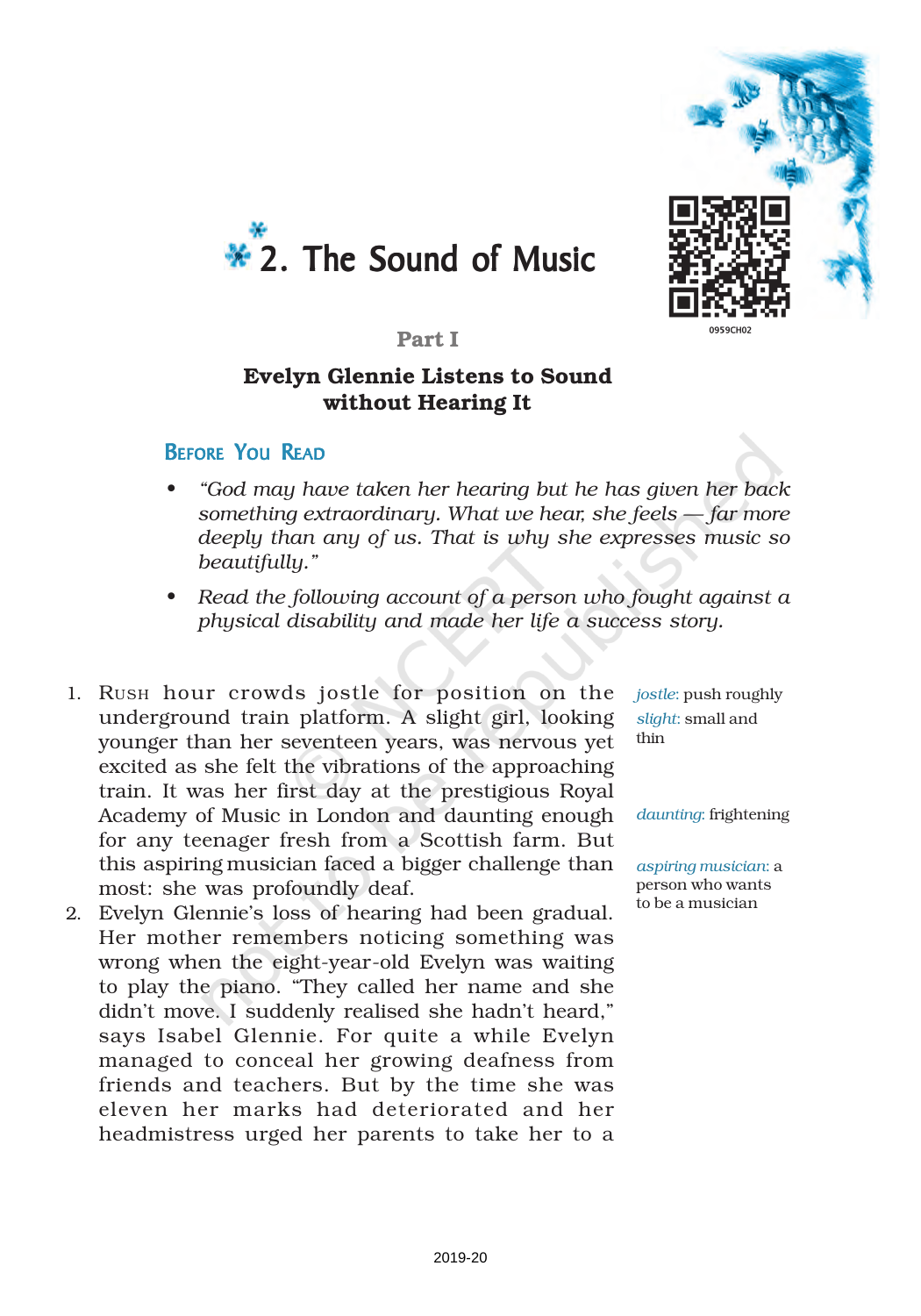



### Part I

## Evelyn Glennie Listens to Sound without Hearing It

### BEFORE YOU READ

- *• "God may have taken her hearing but he has given her back something extraordinary. What we hear, she feels — far more deeply than any of us. That is why she expresses music so beautifully."*
- *• Read the following account of a person who fought against a physical disability and made her life a success story.*
- 1. RUSH hour crowds jostle for position on the underground train platform. A slight girl, looking younger than her seventeen years, was nervous yet excited as she felt the vibrations of the approaching train. It was her first day at the prestigious Royal Academy of Music in London and daunting enough for any teenager fresh from a Scottish farm. But this aspiring musician faced a bigger challenge than most: she was profoundly deaf.
- 2. Evelyn Glennie's loss of hearing had been gradual. Her mother remembers noticing something was wrong when the eight-year-old Evelyn was waiting to play the piano. "They called her name and she didn't move. I suddenly realised she hadn't heard," says Isabel Glennie. For quite a while Evelyn managed to conceal her growing deafness from friends and teachers. But by the time she was eleven her marks had deteriorated and her headmistress urged her parents to take her to a

*jostle*: push roughly *slight*: small and thin

*daunting*: frightening

*aspiring musician*: a person who wants to be a musician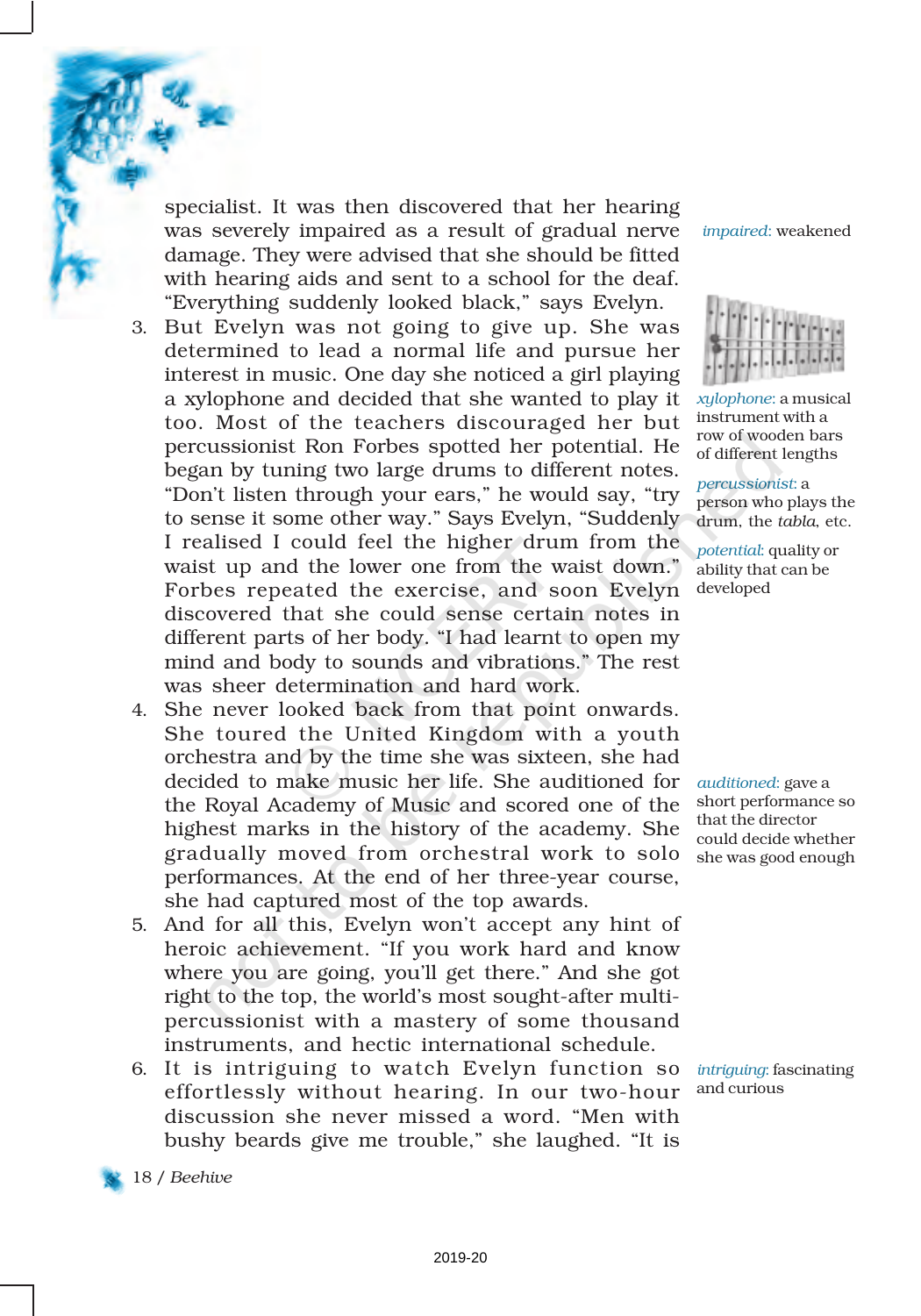specialist. It was then discovered that her hearing was severely impaired as a result of gradual nerve damage. They were advised that she should be fitted with hearing aids and sent to a school for the deaf. "Everything suddenly looked black," says Evelyn.

- 3. But Evelyn was not going to give up. She was determined to lead a normal life and pursue her interest in music. One day she noticed a girl playing a xylophone and decided that she wanted to play it too. Most of the teachers discouraged her but percussionist Ron Forbes spotted her potential. He began by tuning two large drums to different notes. "Don't listen through your ears," he would say, "try to sense it some other way." Says Evelyn, "Suddenly I realised I could feel the higher drum from the waist up and the lower one from the waist down." Forbes repeated the exercise, and soon Evelyn discovered that she could sense certain notes in different parts of her body. "I had learnt to open my mind and body to sounds and vibrations." The rest was sheer determination and hard work.
- 4. She never looked back from that point onwards. She toured the United Kingdom with a youth orchestra and by the time she was sixteen, she had decided to make music her life. She auditioned for the Royal Academy of Music and scored one of the highest marks in the history of the academy. She gradually moved from orchestral work to solo performances. At the end of her three-year course, she had captured most of the top awards.
- 5. And for all this, Evelyn won't accept any hint of heroic achievement. "If you work hard and know where you are going, you'll get there." And she got right to the top, the world's most sought-after multipercussionist with a mastery of some thousand instruments, and hectic international schedule.
- 6. It is intriguing to watch Evelyn function so effortlessly without hearing. In our two-hour discussion she never missed a word. "Men with bushy beards give me trouble," she laughed. "It is

*impaired*: weakened



*xylophone*: a musical instrument with a row of wooden bars of different lengths

*percussionist*: a person who plays the drum, the *tabla*, etc.

*potential*: quality or ability that can be developed

*auditioned*: gave a short performance so that the director could decide whether she was good enough

*intriguing*: fascinating and curious

18 / *Beehive*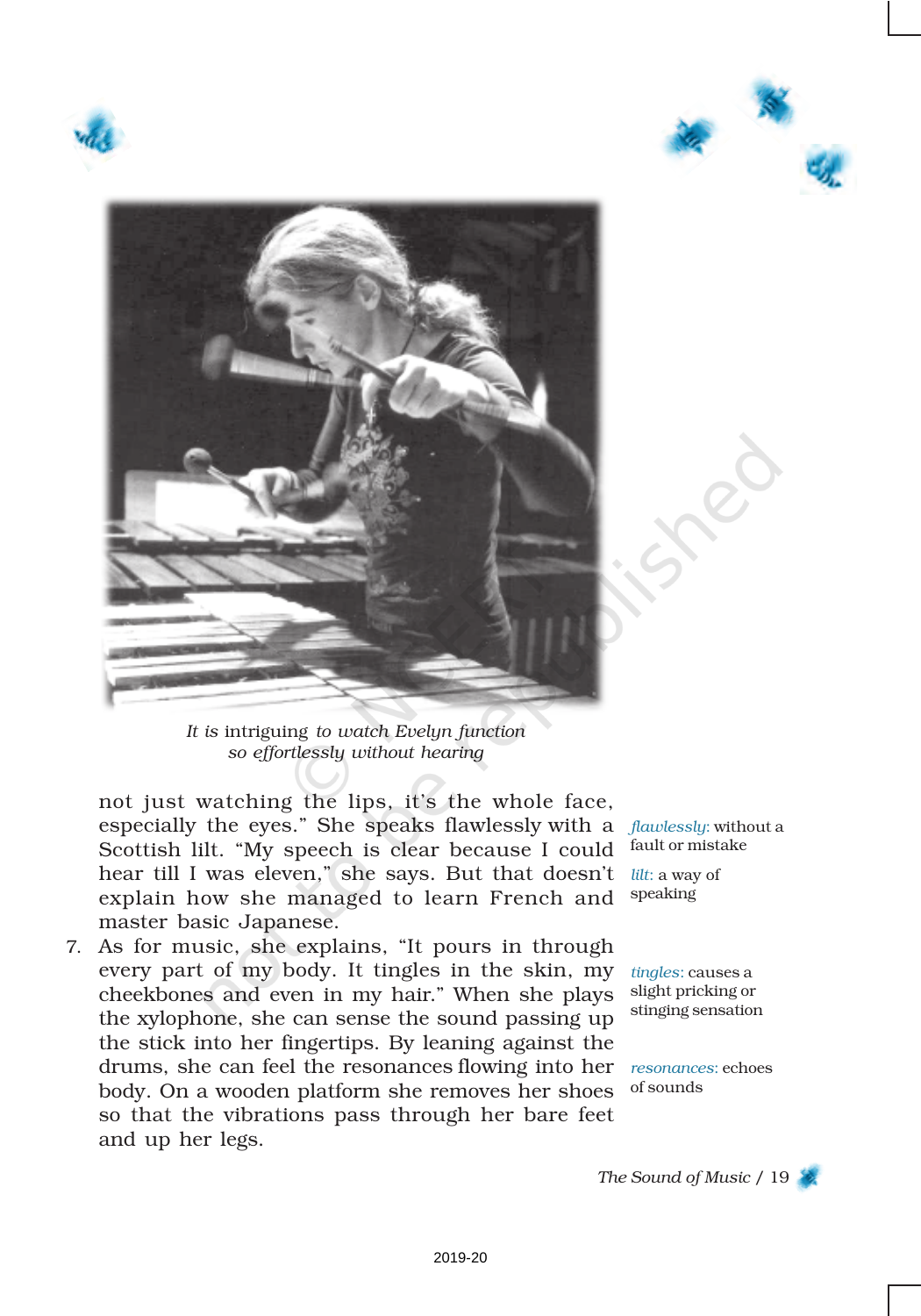





*It is* intriguing *to watch Evelyn function so effortlessly without hearing*

not just watching the lips, it's the whole face, especially the eyes." She speaks flawlessly with a *flawlessly*: without a Scottish lilt. "My speech is clear because I could hear till I was eleven," she says. But that doesn't explain how she managed to learn French and master basic Japanese.

7. As for music, she explains, "It pours in through every part of my body. It tingles in the skin, my cheekbones and even in my hair." When she plays the xylophone, she can sense the sound passing up the stick into her fingertips. By leaning against the drums, she can feel the resonances flowing into her body. On a wooden platform she removes her shoes so that the vibrations pass through her bare feet and up her legs.

fault or mistake

*lilt*: a way of speaking

*tingles*: causes a slight pricking or stinging sensation

*resonances*: echoes of sounds

*The Sound of Music* / 19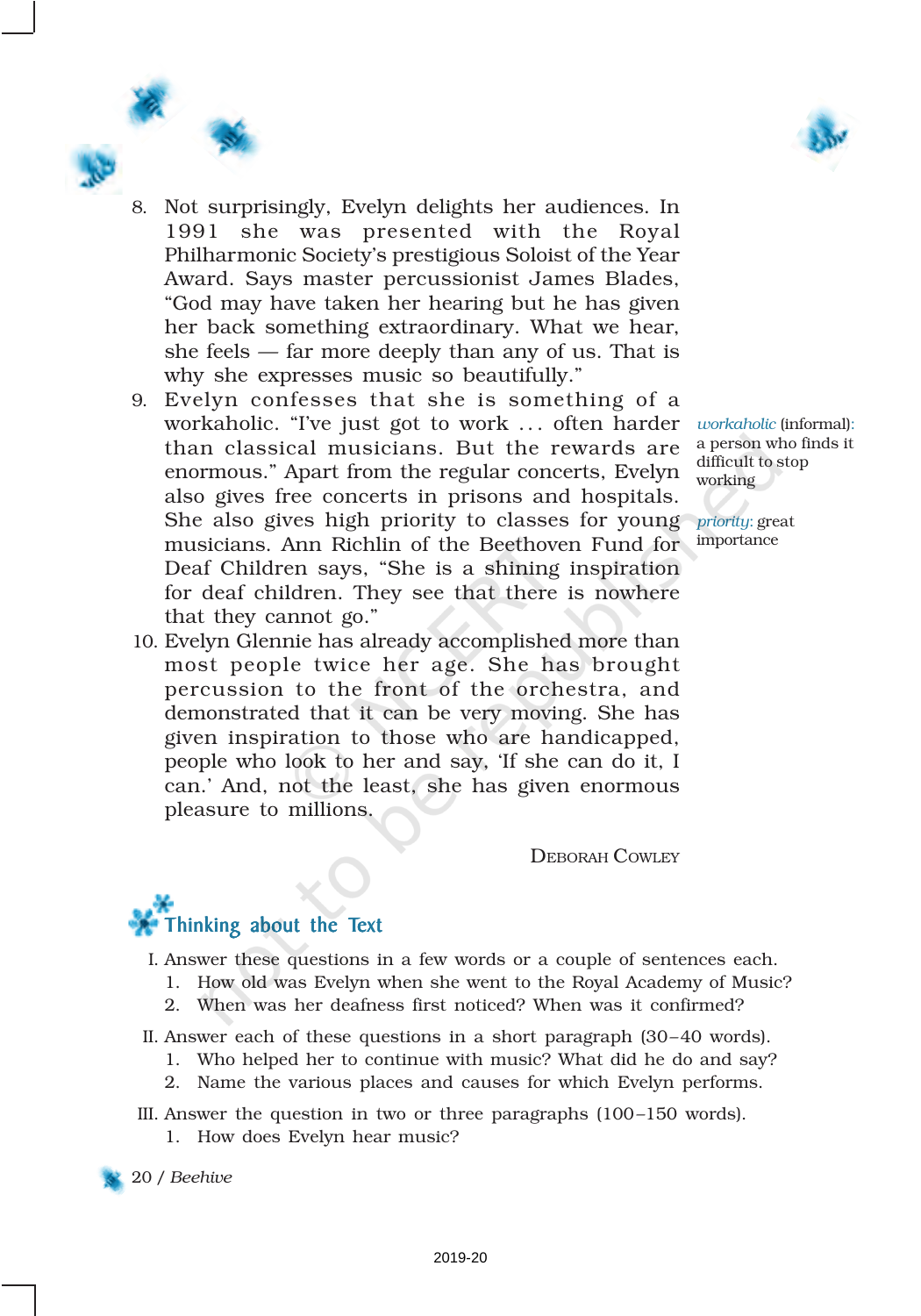



- 8. Not surprisingly, Evelyn delights her audiences. In 1991 she was presented with the Royal Philharmonic Society's prestigious Soloist of the Year Award. Says master percussionist James Blades, "God may have taken her hearing but he has given her back something extraordinary. What we hear, she feels — far more deeply than any of us. That is why she expresses music so beautifully."
- 9. Evelyn confesses that she is something of a workaholic. "I've just got to work ... often harder *workaholic* (informal): than classical musicians. But the rewards are enormous." Apart from the regular concerts, Evelyn also gives free concerts in prisons and hospitals. She also gives high priority to classes for young *priority*: great musicians. Ann Richlin of the Beethoven Fund for importance Deaf Children says, "She is a shining inspiration for deaf children. They see that there is nowhere that they cannot go."
- 10. Evelyn Glennie has already accomplished more than most people twice her age. She has brought percussion to the front of the orchestra, and demonstrated that it can be very moving. She has given inspiration to those who are handicapped, people who look to her and say, 'If she can do it, I can.' And, not the least, she has given enormous pleasure to millions.

DEBORAH COWLEY

## a person who finds it difficult to stop working

## Thinking about the Text

- I. Answer these questions in a few words or a couple of sentences each.
	- 1. How old was Evelyn when she went to the Royal Academy of Music?
	- 2. When was her deafness first noticed? When was it confirmed?
- II. Answer each of these questions in a short paragraph (30–40 words).
	- 1. Who helped her to continue with music? What did he do and say?
	- 2. Name the various places and causes for which Evelyn performs.
- III. Answer the question in two or three paragraphs (100–150 words).
	- 1. How does Evelyn hear music?

20 / *Beehive*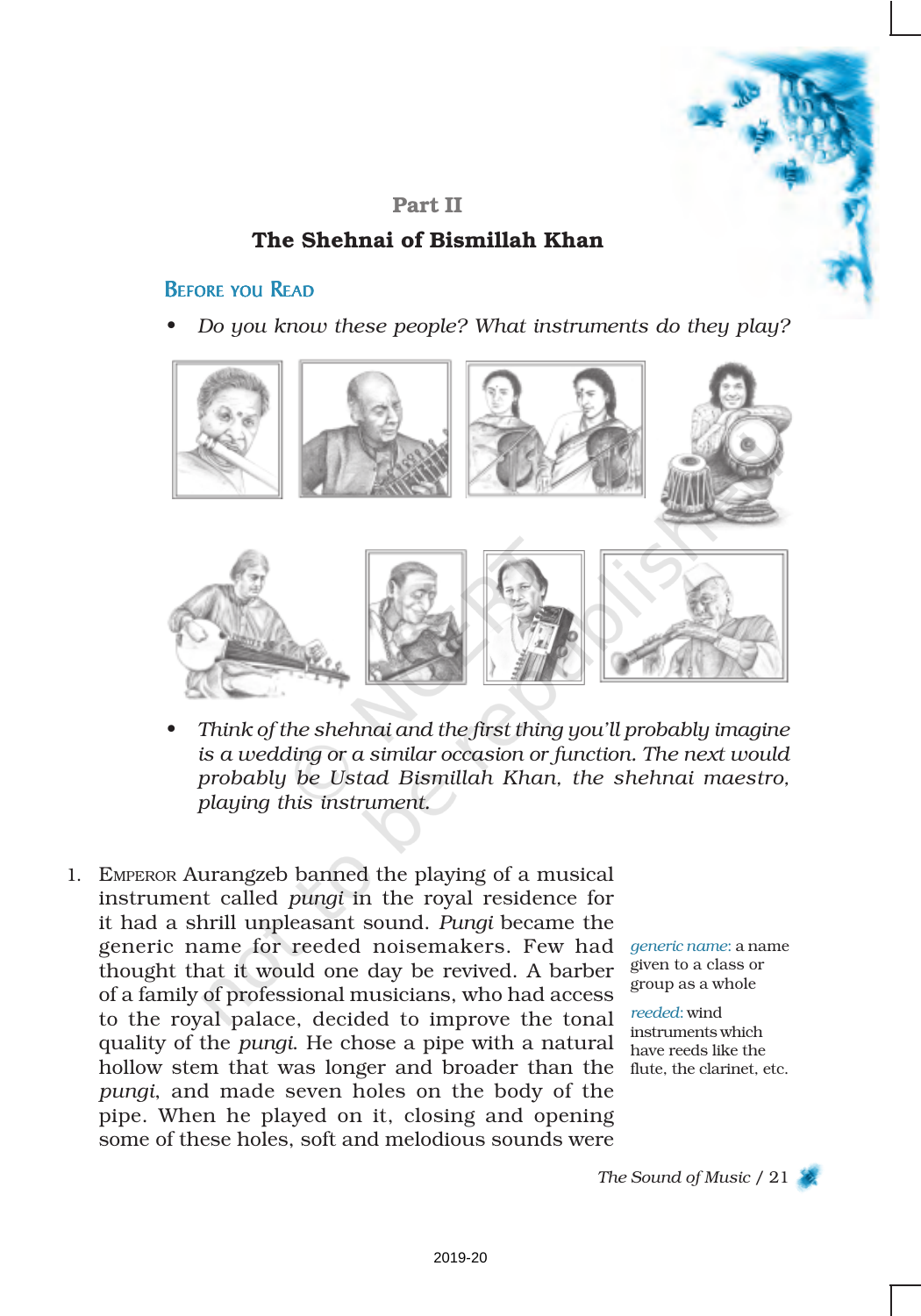

### Part II

## The Shehnai of Bismillah Khan

## **BEFORE YOU READ**

*• Do you know these people? What instruments do they play?*



- *• Think of the shehnai and the first thing you'll probably imagine is a wedding or a similar occasion or function. The next would probably be Ustad Bismillah Khan, the shehnai maestro, playing this instrument.*
- 1. EMPEROR Aurangzeb banned the playing of a musical instrument called *pungi* in the royal residence for it had a shrill unpleasant sound. *Pungi* became the generic name for reeded noisemakers. Few had *generic name*: a name thought that it would one day be revived. A barber of a family of professional musicians, who had access to the royal palace, decided to improve the tonal quality of the *pungi*. He chose a pipe with a natural hollow stem that was longer and broader than the flute, the clarinet, etc. *pungi*, and made seven holes on the body of the pipe. When he played on it, closing and opening some of these holes, soft and melodious sounds were

given to a class or group as a whole

*reeded*: wind instruments which have reeds like the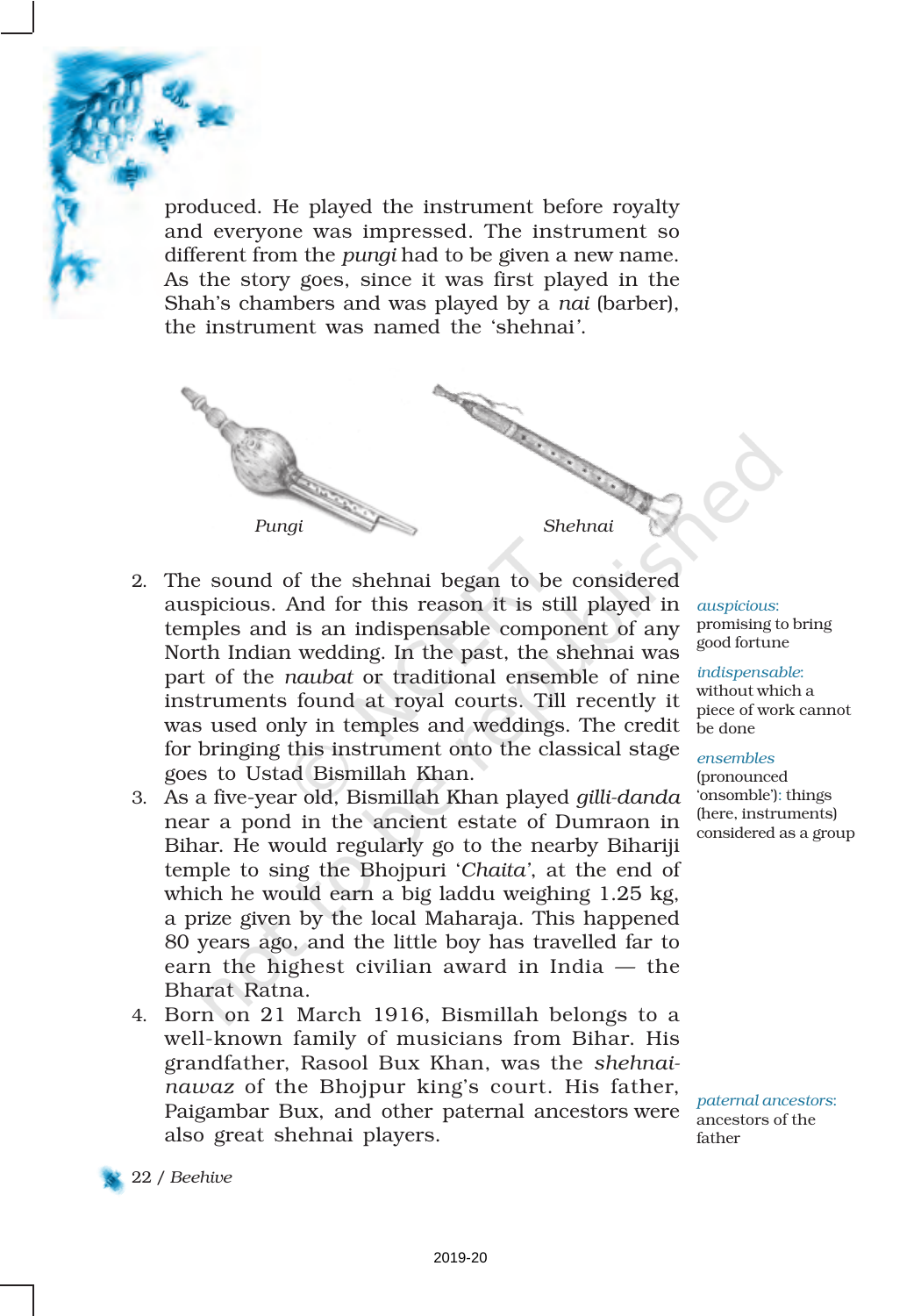produced. He played the instrument before royalty and everyone was impressed. The instrument so different from the *pungi* had to be given a new name. As the story goes, since it was first played in the Shah's chambers and was played by a *nai* (barber), the instrument was named the 'shehnai*'*.



- 2. The sound of the shehnai began to be considered auspicious. And for this reason it is still played in temples and is an indispensable component of any North Indian wedding. In the past, the shehnai was part of the *naubat* or traditional ensemble of nine instruments found at royal courts. Till recently it was used only in temples and weddings. The credit for bringing this instrument onto the classical stage goes to Ustad Bismillah Khan.
- 3. As a five-year old, Bismillah Khan played *gilli-danda* near a pond in the ancient estate of Dumraon in Bihar. He would regularly go to the nearby Bihariji temple to sing the Bhojpuri '*Chaita'*, at the end of which he would earn a big laddu weighing 1.25 kg, a prize given by the local Maharaja. This happened 80 years ago, and the little boy has travelled far to earn the highest civilian award in India — the Bharat Ratna.
- 4. Born on 21 March 1916, Bismillah belongs to a well-known family of musicians from Bihar. His grandfather, Rasool Bux Khan, was the *shehnainawaz* of the Bhojpur king's court. His father, Paigambar Bux, and other paternal ancestors were also great shehnai players.

*auspicious*: promising to bring good fortune

#### *indispensable*:

without which a piece of work cannot be done

#### *ensembles*

(pronounced 'onsomble'): things (here, instruments) considered as a group

*paternal ancestors*: ancestors of the father

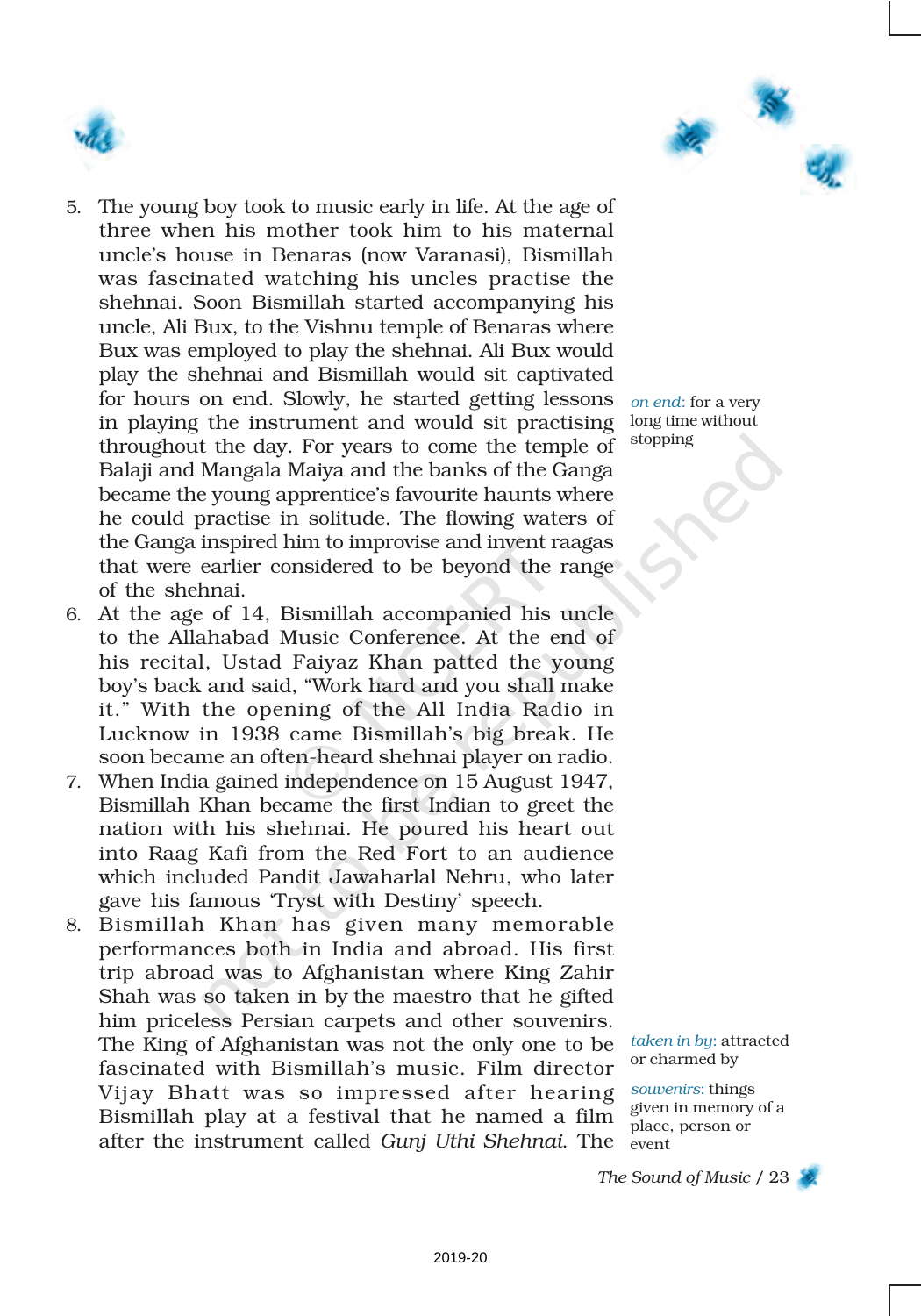



- 5. The young boy took to music early in life. At the age of three when his mother took him to his maternal uncle's house in Benaras (now Varanasi), Bismillah was fascinated watching his uncles practise the shehnai. Soon Bismillah started accompanying his uncle, Ali Bux, to the Vishnu temple of Benaras where Bux was employed to play the shehnai. Ali Bux would play the shehnai and Bismillah would sit captivated for hours on end. Slowly, he started getting lessons in playing the instrument and would sit practising throughout the day. For years to come the temple of Balaji and Mangala Maiya and the banks of the Ganga became the young apprentice's favourite haunts where he could practise in solitude. The flowing waters of the Ganga inspired him to improvise and invent raagas that were earlier considered to be beyond the range of the shehnai.
- 6. At the age of 14, Bismillah accompanied his uncle to the Allahabad Music Conference. At the end of his recital, Ustad Faiyaz Khan patted the young boy's back and said, "Work hard and you shall make it." With the opening of the All India Radio in Lucknow in 1938 came Bismillah's big break. He soon became an often-heard shehnai player on radio.
- 7. When India gained independence on 15 August 1947, Bismillah Khan became the first Indian to greet the nation with his shehnai. He poured his heart out into Raag Kafi from the Red Fort to an audience which included Pandit Jawaharlal Nehru, who later gave his famous 'Tryst with Destiny' speech.
- 8. Bismillah Khan has given many memorable performances both in India and abroad. His first trip abroad was to Afghanistan where King Zahir Shah was so taken in by the maestro that he gifted him priceless Persian carpets and other souvenirs. The King of Afghanistan was not the only one to be fascinated with Bismillah's music. Film director Vijay Bhatt was so impressed after hearing Bismillah play at a festival that he named a film after the instrument called *Gunj Uthi Shehnai.* The <sup>'</sup>event

*on end*: for a very long time without stopping

*taken in by*: attracted or charmed by

*souvenirs*: things given in memory of a place, person or

*The Sound of Music* / 23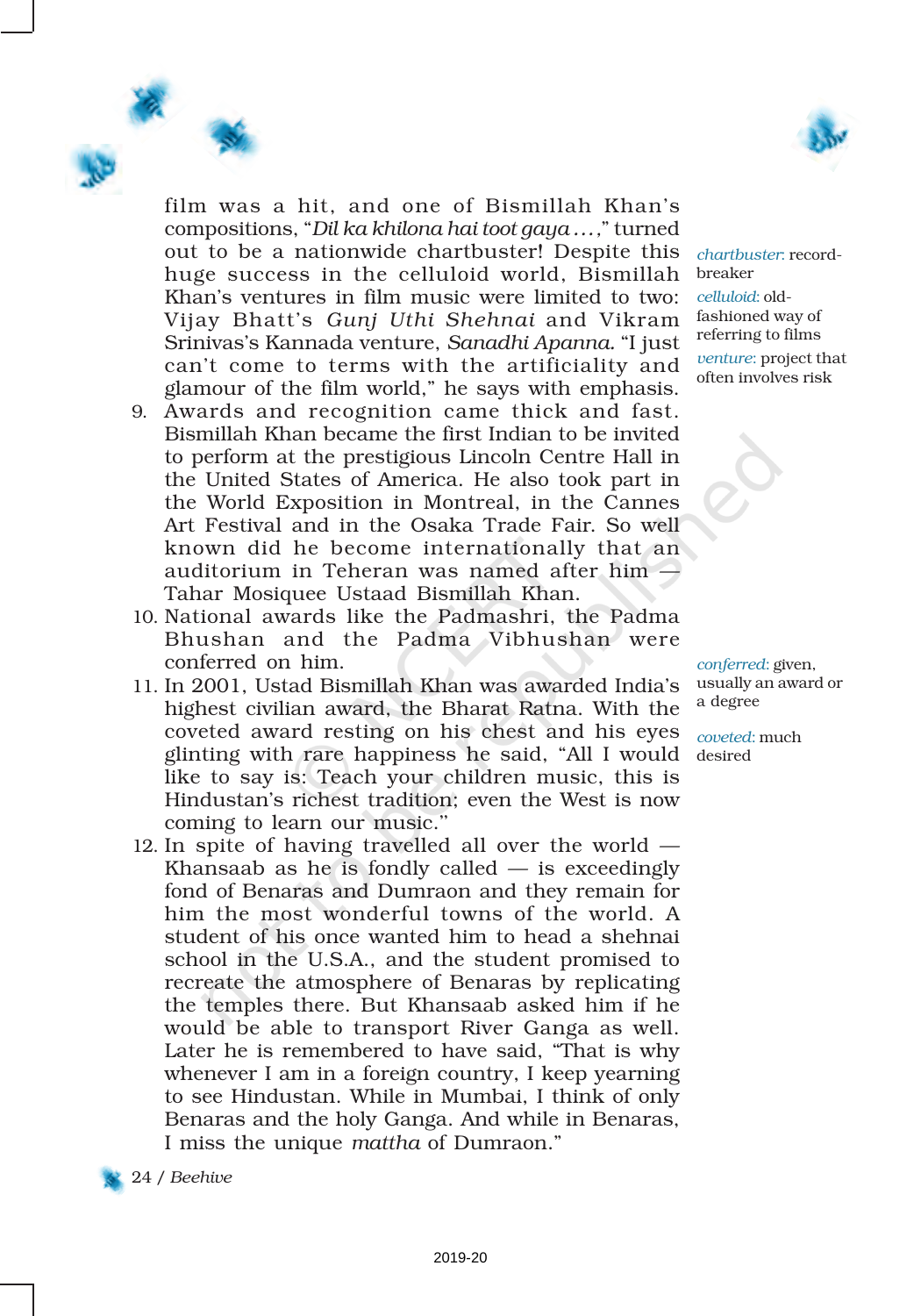

film was a hit, and one of Bismillah Khan's compositions, "*Dil ka khilona hai toot gaya ...,*" turned out to be a nationwide chartbuster! Despite this huge success in the celluloid world, Bismillah Khan's ventures in film music were limited to two: Vijay Bhatt's *Gunj Uthi Shehnai* and Vikram Srinivas's Kannada venture, *Sanadhi Apanna.* "I just can't come to terms with the artificiality and glamour of the film world," he says with emphasis.

- 9. Awards and recognition came thick and fast. Bismillah Khan became the first Indian to be invited to perform at the prestigious Lincoln Centre Hall in the United States of America. He also took part in the World Exposition in Montreal, in the Cannes Art Festival and in the Osaka Trade Fair. So well known did he become internationally that an auditorium in Teheran was named after him — Tahar Mosiquee Ustaad Bismillah Khan.
- 10. National awards like the Padmashri, the Padma Bhushan and the Padma Vibhushan were conferred on him.
- 11. In 2001, Ustad Bismillah Khan was awarded India's highest civilian award, the Bharat Ratna. With the coveted award resting on his chest and his eyes glinting with rare happiness he said, "All I would like to say is: Teach your children music, this is Hindustan's richest tradition; even the West is now coming to learn our music.''
- 12. In spite of having travelled all over the world Khansaab as he is fondly called  $-$  is exceedingly fond of Benaras and Dumraon and they remain for him the most wonderful towns of the world. A student of his once wanted him to head a shehnai school in the U.S.A., and the student promised to recreate the atmosphere of Benaras by replicating the temples there. But Khansaab asked him if he would be able to transport River Ganga as well. Later he is remembered to have said, "That is why whenever I am in a foreign country, I keep yearning to see Hindustan. While in Mumbai, I think of only Benaras and the holy Ganga. And while in Benaras, I miss the unique *mattha* of Dumraon."

24 / *Beehive*

*chartbuster*: recordbreaker

*celluloid*: oldfashioned way of referring to films

*venture*: project that often involves risk

*conferred*: given, usually an award or a degree

*coveted*: much desired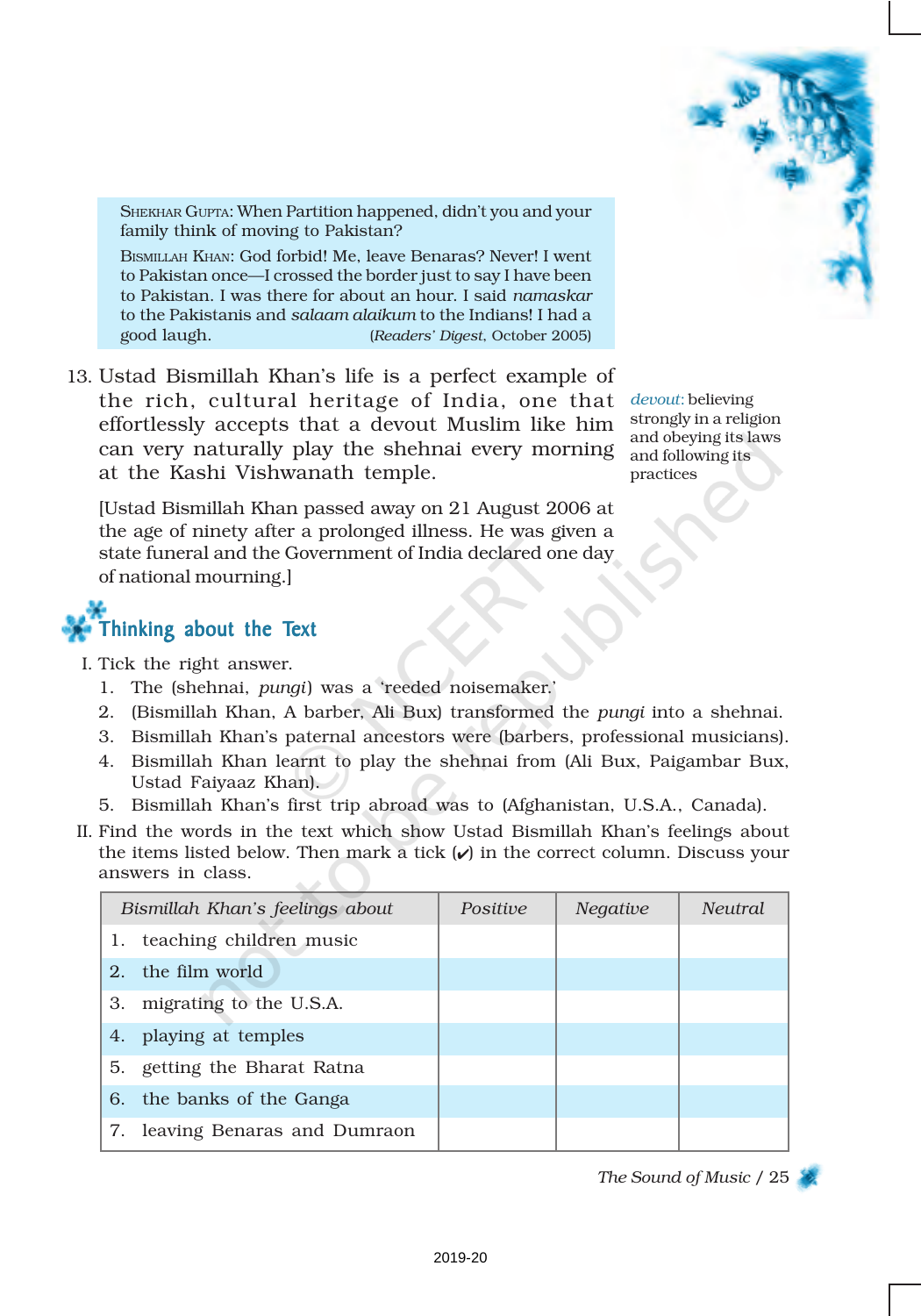

SHEKHAR GUPTA: When Partition happened, didn't you and your family think of moving to Pakistan?

BISMILLAH KHAN: God forbid! Me, leave Benaras? Never! I went to Pakistan once—I crossed the border just to say I have been to Pakistan. I was there for about an hour. I said *namaskar* to the Pakistanis and *salaam alaikum* to the Indians! I had a good laugh. (*Readers' Digest*, October 2005)

13. Ustad Bismillah Khan's life is a perfect example of the rich, cultural heritage of India, one that *devout*: believing effortlessly accepts that a devout Muslim like him can very naturally play the shehnai every morning at the Kashi Vishwanath temple.

[Ustad Bismillah Khan passed away on 21 August 2006 at the age of ninety after a prolonged illness. He was given a state funeral and the Government of India declared one day of national mourning.]



- I. Tick the right answer.
	- 1. The (shehnai, *pungi*) was a 'reeded noisemaker.'
	- 2. (Bismillah Khan, A barber, Ali Bux) transformed the *pungi* into a shehnai.
	- 3. Bismillah Khan's paternal ancestors were (barbers, professional musicians).
	- 4. Bismillah Khan learnt to play the shehnai from (Ali Bux, Paigambar Bux, Ustad Faiyaaz Khan).
	- 5. Bismillah Khan's first trip abroad was to (Afghanistan, U.S.A., Canada).
- II. Find the words in the text which show Ustad Bismillah Khan's feelings about the items listed below. Then mark a tick  $(v)$  in the correct column. Discuss your answers in class.

| Bismillah Khan's feelings about |                                | Positive | <b>Negative</b> | <b>Neutral</b> |
|---------------------------------|--------------------------------|----------|-----------------|----------------|
| 1.                              | teaching children music        |          |                 |                |
|                                 | 2. the film world              |          |                 |                |
| 3.                              | migrating to the U.S.A.        |          |                 |                |
| 4.                              | playing at temples             |          |                 |                |
| 5.                              | getting the Bharat Ratna       |          |                 |                |
|                                 | 6. the banks of the Ganga      |          |                 |                |
|                                 | 7. leaving Benaras and Dumraon |          |                 |                |

*The Sound of Music* / 25

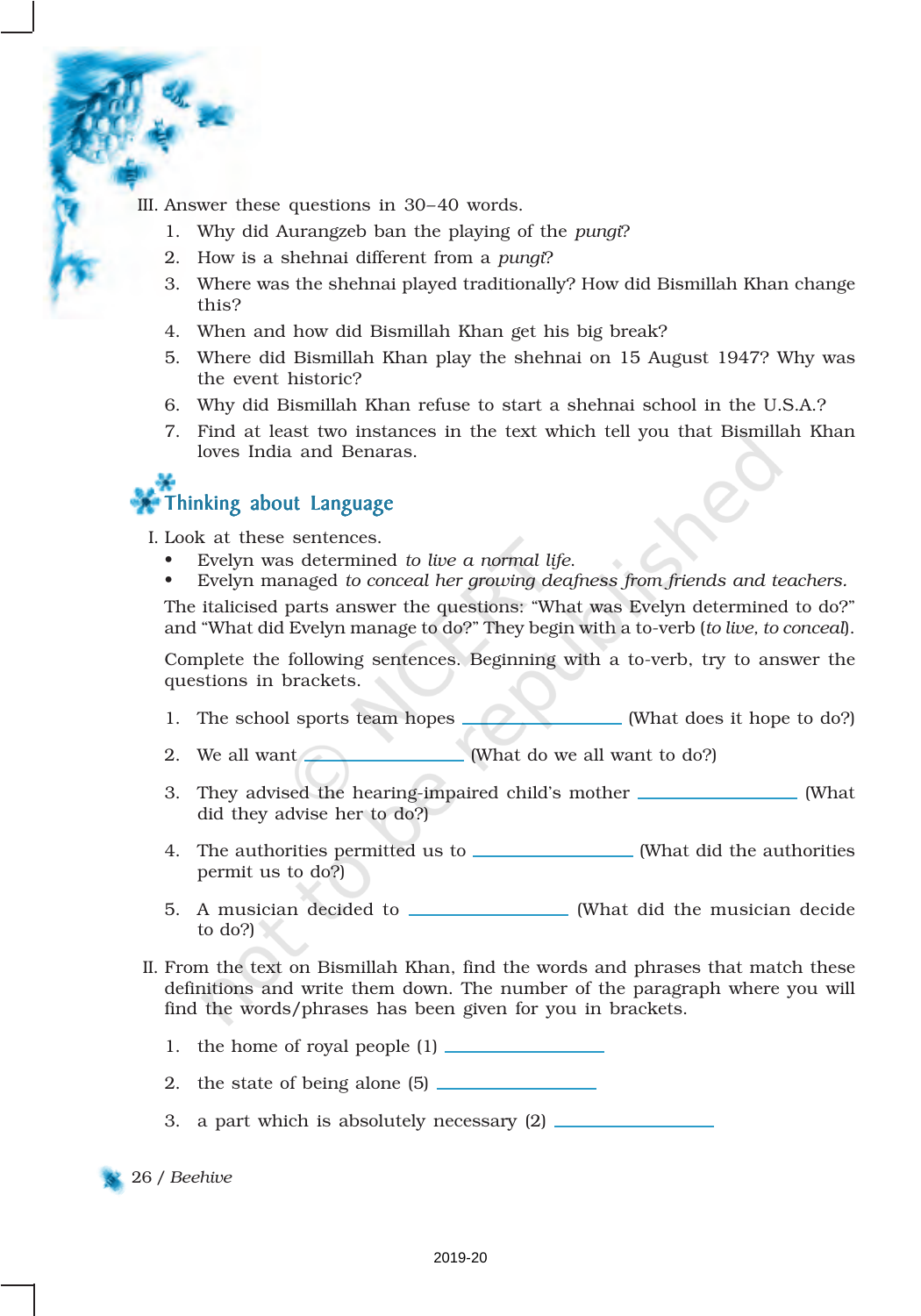III. Answer these questions in 30–40 words.

- 1. Why did Aurangzeb ban the playing of the *pungi*?
- 2. How is a shehnai different from a *pungi*?
- 3. Where was the shehnai played traditionally? How did Bismillah Khan change this?
- 4. When and how did Bismillah Khan get his big break?
- 5. Where did Bismillah Khan play the shehnai on 15 August 1947? Why was the event historic?
- 6. Why did Bismillah Khan refuse to start a shehnai school in the U.S.A.?
- 7. Find at least two instances in the text which tell you that Bismillah Khan loves India and Benaras.

## Thinking about Language

I. Look at these sentences.

- Evelyn was determined *to live a normal life*.
- Evelyn managed *to conceal her growing deafness from friends and teachers.*

The italicised parts answer the questions: "What was Evelyn determined to do?" and "What did Evelyn manage to do?" They begin with a to-verb (*to live, to conceal*).

Complete the following sentences. Beginning with a to-verb, try to answer the questions in brackets.

- 1. The school sports team hopes (What does it hope to do?)
- 2. We all want (What do we all want to do?)
- 3. They advised the hearing-impaired child's mother (What did they advise her to do?)
- 4. The authorities permitted us to \_\_\_\_\_\_\_\_\_\_\_\_\_\_\_\_ (What did the authorities permit us to do?)
- 5. A musician decided to (What did the musician decide to do?)
- II. From the text on Bismillah Khan, find the words and phrases that match these definitions and write them down. The number of the paragraph where you will find the words/phrases has been given for you in brackets.
	- 1. the home of royal people (1)
	- 2. the state of being alone (5)
	- 3. a part which is absolutely necessary (2)
- 26 / *Beehive*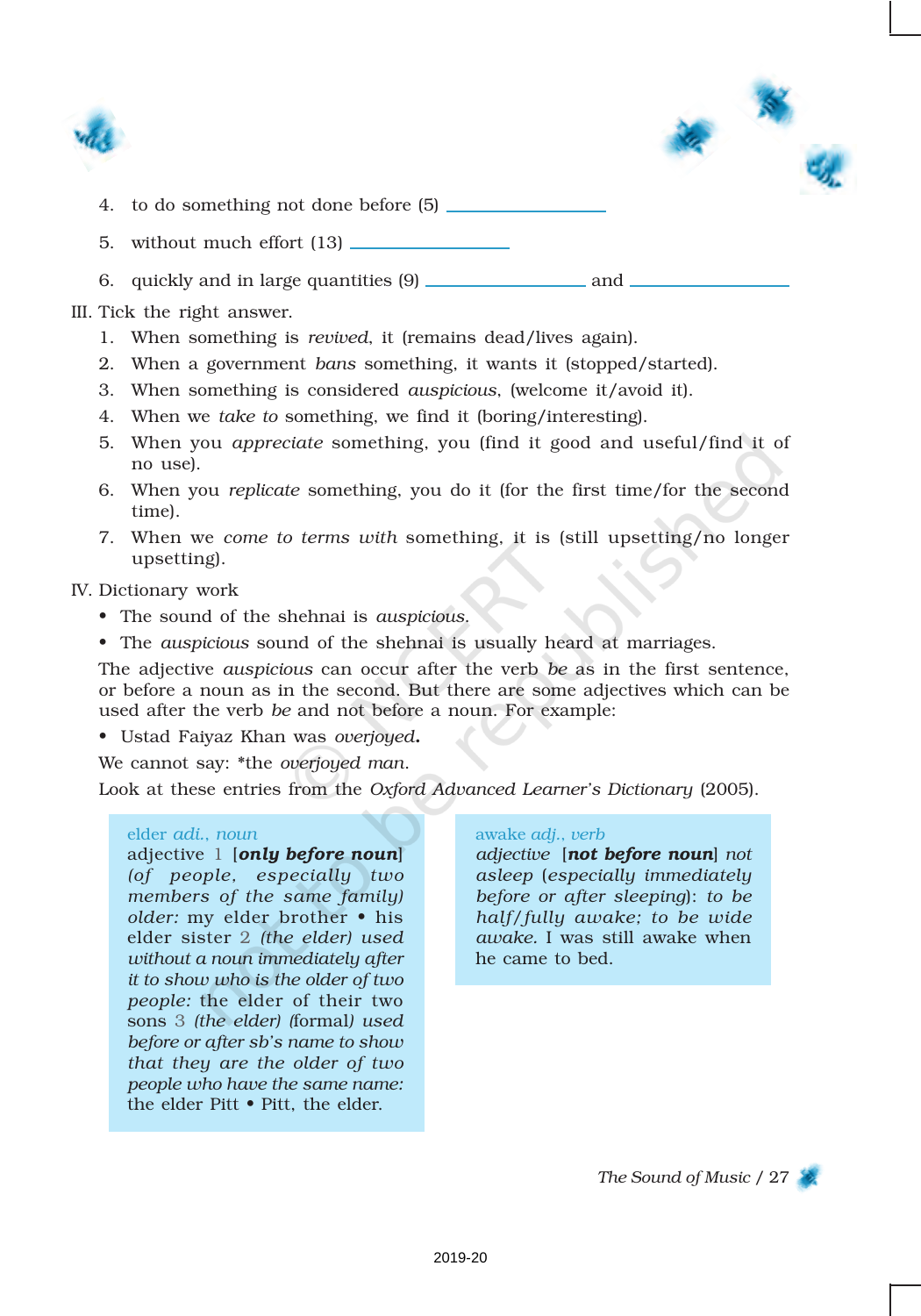

- 4. to do something not done before (5)
- 5. without much effort (13)
- 6. quickly and in large quantities (9) and
- III. Tick the right answer.
	- 1. When something is *revived*, it (remains dead/lives again).
	- 2. When a government *bans* something, it wants it (stopped/started).
	- 3. When something is considered *auspicious*, (welcome it/avoid it).
	- 4. When we *take to* something, we find it (boring/interesting).
	- 5. When you *appreciate* something, you (find it good and useful/find it of no use).
	- 6. When you *replicate* something, you do it (for the first time/for the second time).
	- 7. When we *come to terms with* something, it is (still upsetting/no longer upsetting).

IV. Dictionary work

- The sound of the shehnai is *auspicious*.
- The *auspicious* sound of the shehnai is usually heard at marriages.

The adjective *auspicious* can occur after the verb *be* as in the first sentence, or before a noun as in the second. But there are some adjectives which can be used after the verb *be* and not before a noun. For example:

• Ustad Faiyaz Khan was *overjoyed*.

We cannot say: \*the *overjoyed man*.

Look at these entries from the *Oxford Advanced Learner's Dictionary* (2005).

#### elder *adi.*, *noun*

adjective 1 [*only before noun*] *(of people, especially two members of the same family) older:* my elder brother • his elder sister 2 *(the elder) used without a noun immediately after it to show who is the older of two people:* the elder of their two sons 3 *(the elder) (*formal*) used before or after sb's name to show that they are the older of two people who have the same name:* the elder Pitt • Pitt, the elder.

#### awake *adj.*, *verb*

*adjective* [*not before noun*] *not asleep* (*especially immediately before or after sleeping*): *to be half/fully awake; to be wide awake.* I was still awake when he came to bed.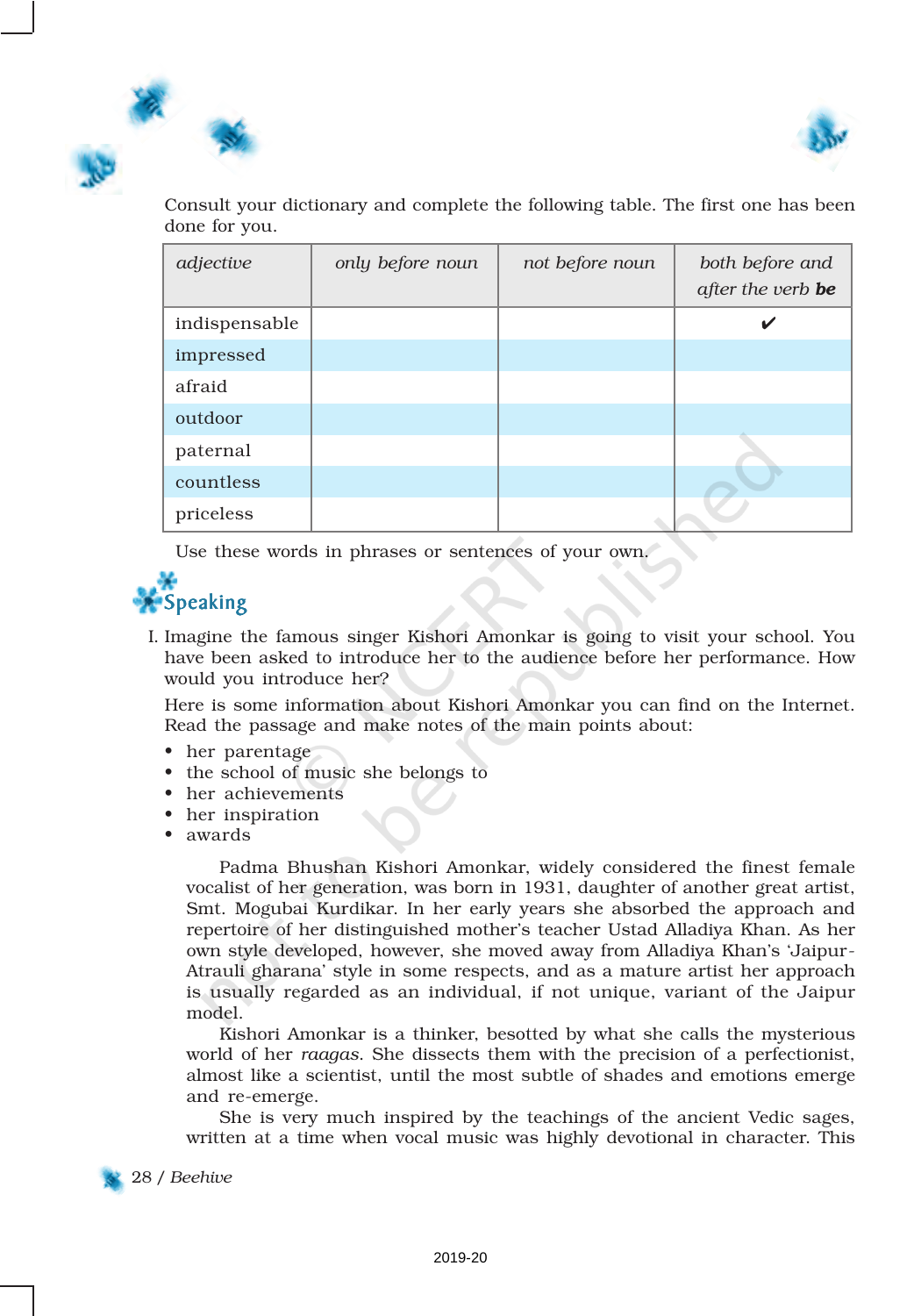



Consult your dictionary and complete the following table. The first one has been done for you.

| adjective     | only before noun | not before noun | both before and<br>after the verb be |
|---------------|------------------|-----------------|--------------------------------------|
| indispensable |                  |                 | ✔                                    |
| impressed     |                  |                 |                                      |
| afraid        |                  |                 |                                      |
| outdoor       |                  |                 |                                      |
| paternal      |                  |                 |                                      |
| countless     |                  |                 |                                      |
| priceless     |                  |                 |                                      |

Use these words in phrases or sentences of your own.

# $\blacktriangleright$ Speaking

I. Imagine the famous singer Kishori Amonkar is going to visit your school. You have been asked to introduce her to the audience before her performance. How would you introduce her?

Here is some information about Kishori Amonkar you can find on the Internet. Read the passage and make notes of the main points about:

- her parentage
- the school of music she belongs to
- her achievements
- her inspiration
- awards

Padma Bhushan Kishori Amonkar, widely considered the finest female vocalist of her generation, was born in 1931, daughter of another great artist, Smt. Mogubai Kurdikar. In her early years she absorbed the approach and repertoire of her distinguished mother's teacher Ustad Alladiya Khan. As her own style developed, however, she moved away from Alladiya Khan's 'Jaipur-Atrauli gharana' style in some respects, and as a mature artist her approach is usually regarded as an individual, if not unique, variant of the Jaipur model.

Kishori Amonkar is a thinker, besotted by what she calls the mysterious world of her *raagas*. She dissects them with the precision of a perfectionist, almost like a scientist, until the most subtle of shades and emotions emerge and re-emerge.

She is very much inspired by the teachings of the ancient Vedic sages, written at a time when vocal music was highly devotional in character. This

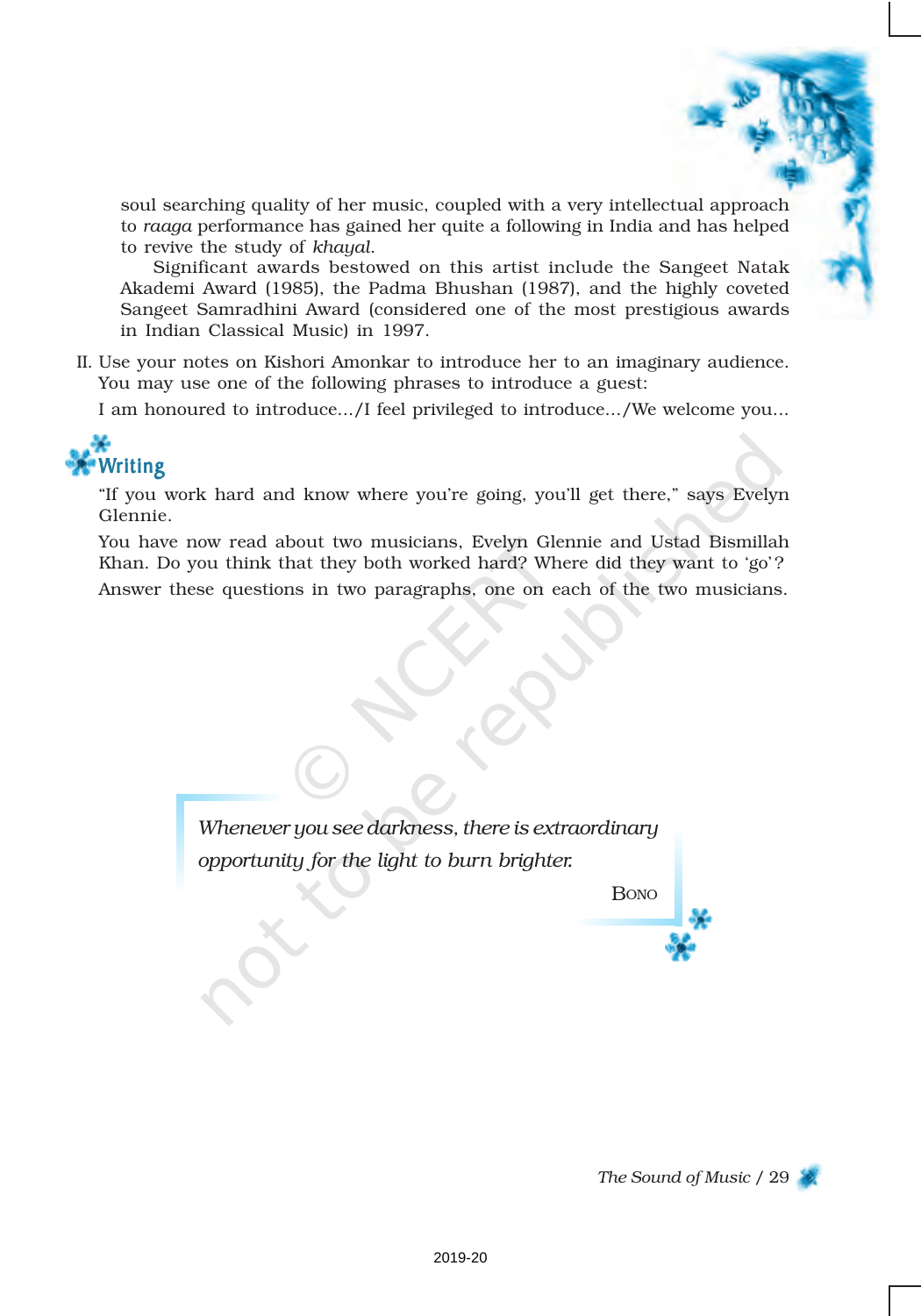soul searching quality of her music, coupled with a very intellectual approach to *raaga* performance has gained her quite a following in India and has helped to revive the study of *khayal*.

Significant awards bestowed on this artist include the Sangeet Natak Akademi Award (1985), the Padma Bhushan (1987), and the highly coveted Sangeet Samradhini Award (considered one of the most prestigious awards in Indian Classical Music) in 1997.

II. Use your notes on Kishori Amonkar to introduce her to an imaginary audience. You may use one of the following phrases to introduce a guest:

I am honoured to introduce.../I feel privileged to introduce.../We welcome you...

# **Writing**

"If you work hard and know where you're going, you'll get there," says Evelyn Glennie.

You have now read about two musicians, Evelyn Glennie and Ustad Bismillah Khan. Do you think that they both worked hard? Where did they want to 'go'? Answer these questions in two paragraphs, one on each of the two musicians.

> *Whenever you see darkness, there is extraordinary opportunity for the light to burn brighter.*

> > BONO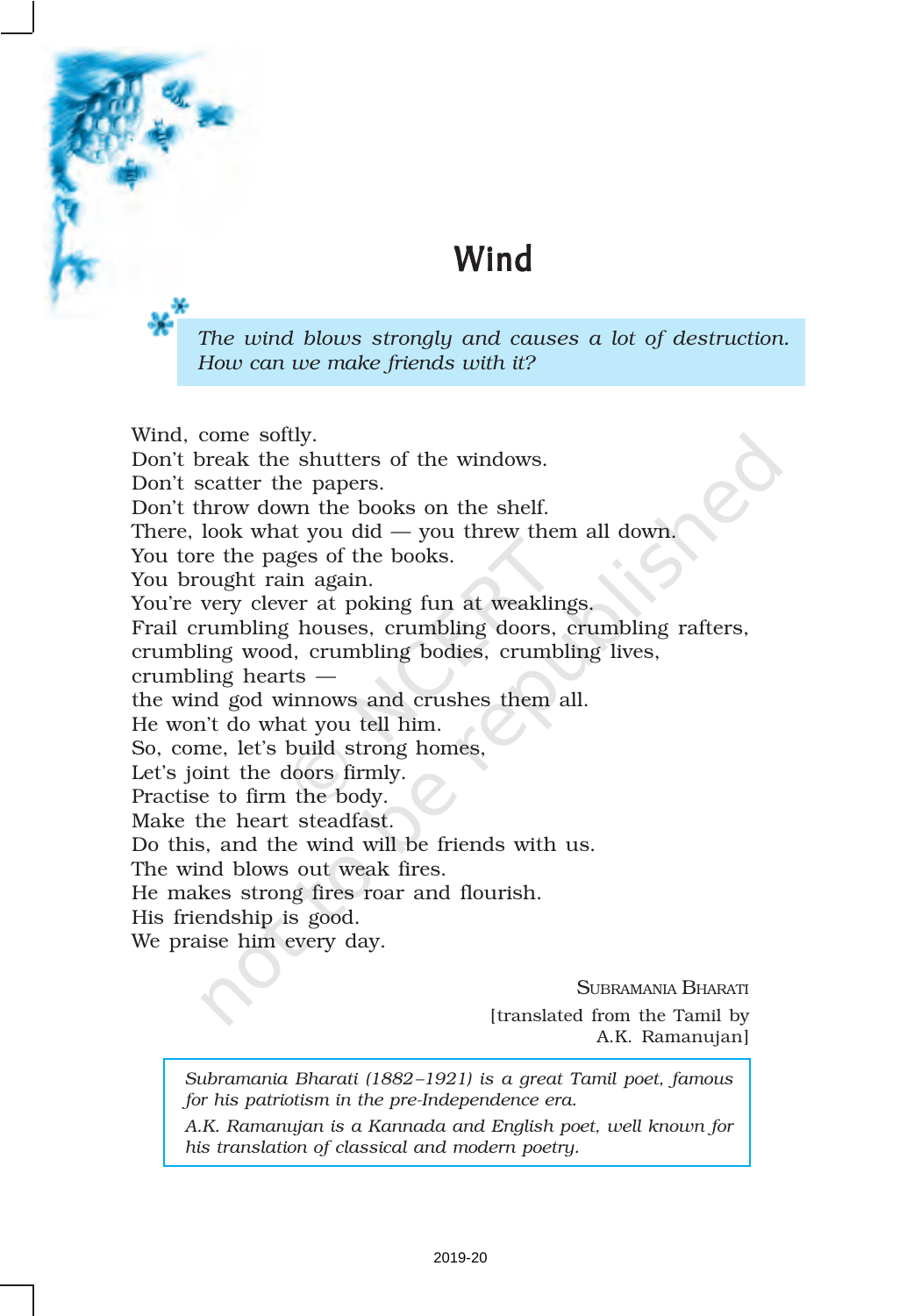## Wind

*The wind blows strongly and causes a lot of destruction. How can we make friends with it?*

Wind, come softly. Don't break the shutters of the windows. Don't scatter the papers. Don't throw down the books on the shelf. There, look what you did  $-$  you threw them all down. You tore the pages of the books. You brought rain again. You're very clever at poking fun at weaklings. Frail crumbling houses, crumbling doors, crumbling rafters, crumbling wood, crumbling bodies, crumbling lives, crumbling hearts the wind god winnows and crushes them all. He won't do what you tell him. So, come, let's build strong homes, Let's joint the doors firmly. Practise to firm the body. Make the heart steadfast. Do this, and the wind will be friends with us. The wind blows out weak fires. He makes strong fires roar and flourish. His friendship is good. We praise him every day.

> SUBRAMANIA BHARATI [translated from the Tamil by A.K. Ramanujan]

*Subramania Bharati (1882–1921) is a great Tamil poet, famous for his patriotism in the pre-Independence era.*

*A.K. Ramanujan is a Kannada and English poet, well known for his translation of classical and modern poetry.*